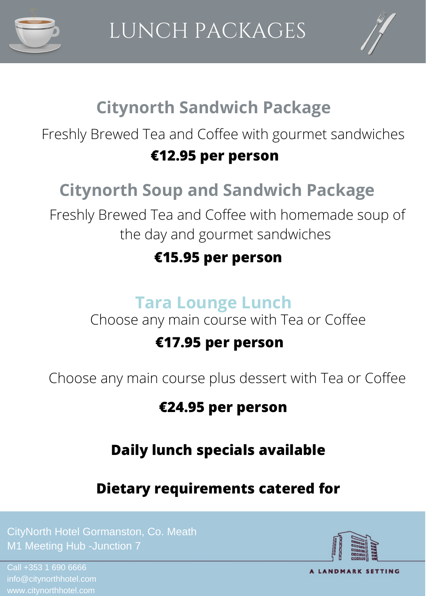



## **Citynorth Sandwich Package**

Freshly Brewed Tea and Coffee with gourmet sandwiches

#### **€12.95 per person**

# **Citynorth Soup and Sandwich Package**

Freshly Brewed Tea and Coffee with homemade soup of the day and gourmet sandwiches

#### **€15.95 per person**

## **Tara Lounge Lunch**

Choose any main course with Tea or Coffee

### **€17.95 per person**

Choose any main course plus dessert with Tea or Coffee

### **€24.95 per person**

## **Daily lunch specials available**

**Dietary requirements catered for**

CityNorth Hotel Gormanston, Co. Meath

Call +353 1 690 6666



A LANDMARK SETTING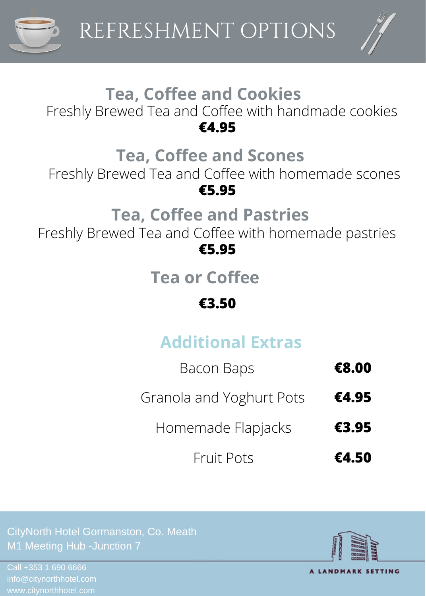



#### **Tea, Coffee and Cookies** Freshly Brewed Tea and Coffee with handmade cookies **€4.95**

## **Tea, Coffee and Scones**

Freshly Brewed Tea and Coffee with homemade scones **€5.95**

## **Tea, Coffee and Pastries**

Freshly Brewed Tea and Coffee with homemade pastries **€5.95**

**Tea or Coffee**

#### **€3.50**

# **Additional Extras**

| Bacon Baps               | €8.00 |
|--------------------------|-------|
| Granola and Yoghurt Pots | €4.95 |
| Homemade Flapjacks       | €3.95 |
| <b>Fruit Pots</b>        | €4.50 |

CityNorth Hotel Gormanston, Co. Meath

Call +353 1 690 6666



A LANDMARK SETTING